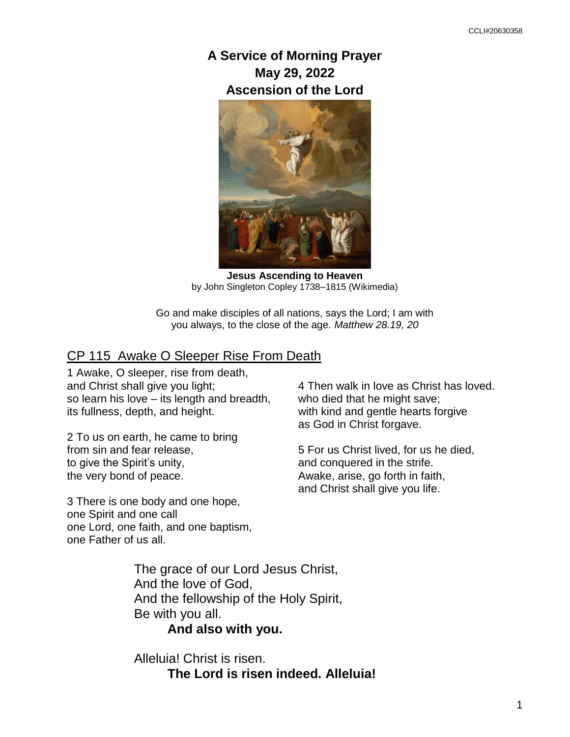**A Service of Morning Prayer May 29, 2022 Ascension of the Lord**



**Jesus Ascending to Heaven** by John Singleton Copley 1738–1815 (Wikimedia)

Go and make disciples of all nations, says the Lord; I am with you always, to the close of the age. *Matthew 28.19, 20*

# CP 115 Awake O Sleeper Rise From Death

1 Awake, O sleeper, rise from death, and Christ shall give you light; so learn his love – its length and breadth, its fullness, depth, and height.

2 To us on earth, he came to bring from sin and fear release, to give the Spirit's unity, the very bond of peace.

3 There is one body and one hope, one Spirit and one call one Lord, one faith, and one baptism, one Father of us all.

4 Then walk in love as Christ has loved. who died that he might save; with kind and gentle hearts forgive as God in Christ forgave.

5 For us Christ lived, for us he died, and conquered in the strife. Awake, arise, go forth in faith, and Christ shall give you life.

The grace of our Lord Jesus Christ, And the love of God, And the fellowship of the Holy Spirit, Be with you all. **And also with you.**

Alleluia! Christ is risen. **The Lord is risen indeed. Alleluia!**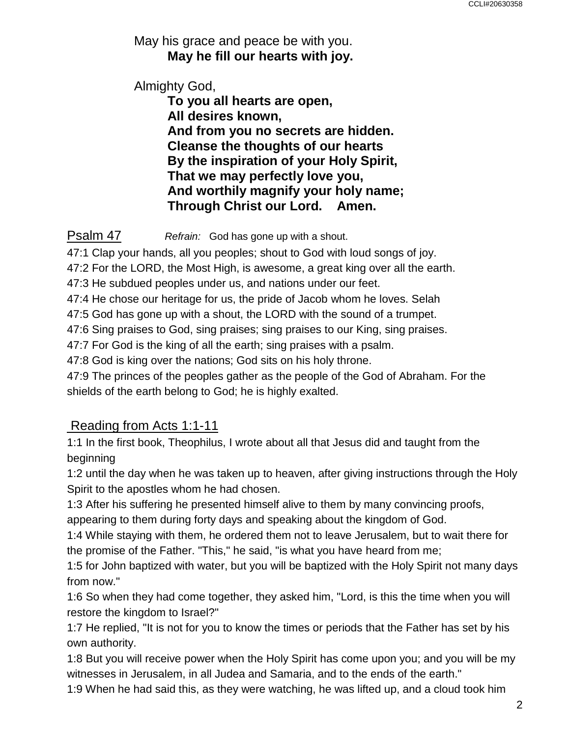### May his grace and peace be with you. **May he fill our hearts with joy.**

Almighty God,

**To you all hearts are open, All desires known, And from you no secrets are hidden. Cleanse the thoughts of our hearts By the inspiration of your Holy Spirit, That we may perfectly love you, And worthily magnify your holy name; Through Christ our Lord. Amen.**

Psalm 47 *Refrain:* God has gone up with a shout.

47:1 Clap your hands, all you peoples; shout to God with loud songs of joy.

47:2 For the LORD, the Most High, is awesome, a great king over all the earth.

47:3 He subdued peoples under us, and nations under our feet.

47:4 He chose our heritage for us, the pride of Jacob whom he loves. Selah

47:5 God has gone up with a shout, the LORD with the sound of a trumpet.

47:6 Sing praises to God, sing praises; sing praises to our King, sing praises.

47:7 For God is the king of all the earth; sing praises with a psalm.

47:8 God is king over the nations; God sits on his holy throne.

47:9 The princes of the peoples gather as the people of the God of Abraham. For the shields of the earth belong to God; he is highly exalted.

# Reading from Acts 1:1-11

1:1 In the first book, Theophilus, I wrote about all that Jesus did and taught from the beginning

1:2 until the day when he was taken up to heaven, after giving instructions through the Holy Spirit to the apostles whom he had chosen.

1:3 After his suffering he presented himself alive to them by many convincing proofs, appearing to them during forty days and speaking about the kingdom of God.

1:4 While staying with them, he ordered them not to leave Jerusalem, but to wait there for the promise of the Father. "This," he said, "is what you have heard from me;

1:5 for John baptized with water, but you will be baptized with the Holy Spirit not many days from now."

1:6 So when they had come together, they asked him, "Lord, is this the time when you will restore the kingdom to Israel?"

1:7 He replied, "It is not for you to know the times or periods that the Father has set by his own authority.

1:8 But you will receive power when the Holy Spirit has come upon you; and you will be my witnesses in Jerusalem, in all Judea and Samaria, and to the ends of the earth."

1:9 When he had said this, as they were watching, he was lifted up, and a cloud took him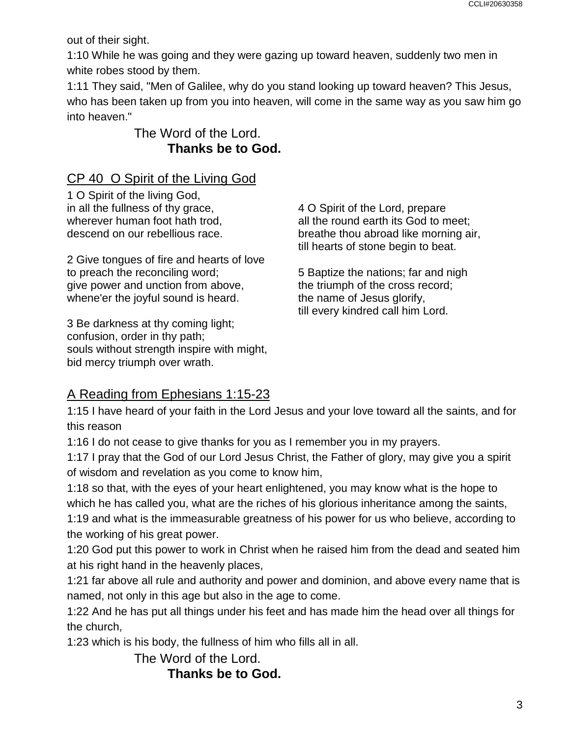out of their sight.

1:10 While he was going and they were gazing up toward heaven, suddenly two men in white robes stood by them.

1:11 They said, "Men of Galilee, why do you stand looking up toward heaven? This Jesus, who has been taken up from you into heaven, will come in the same way as you saw him go into heaven."

### The Word of the Lord. **Thanks be to God.**

# CP 40 O Spirit of the Living God

1 O Spirit of the living God, in all the fullness of thy grace, wherever human foot hath trod, descend on our rebellious race.

2 Give tongues of fire and hearts of love to preach the reconciling word; give power and unction from above, whene'er the joyful sound is heard.

3 Be darkness at thy coming light; confusion, order in thy path; souls without strength inspire with might, bid mercy triumph over wrath.

4 O Spirit of the Lord, prepare all the round earth its God to meet; breathe thou abroad like morning air, till hearts of stone begin to beat.

5 Baptize the nations; far and nigh the triumph of the cross record; the name of Jesus glorify, till every kindred call him Lord.

# A Reading from Ephesians 1:15-23

1:15 I have heard of your faith in the Lord Jesus and your love toward all the saints, and for this reason

1:16 I do not cease to give thanks for you as I remember you in my prayers.

1:17 I pray that the God of our Lord Jesus Christ, the Father of glory, may give you a spirit of wisdom and revelation as you come to know him,

1:18 so that, with the eyes of your heart enlightened, you may know what is the hope to which he has called you, what are the riches of his glorious inheritance among the saints,

1:19 and what is the immeasurable greatness of his power for us who believe, according to the working of his great power.

1:20 God put this power to work in Christ when he raised him from the dead and seated him at his right hand in the heavenly places,

1:21 far above all rule and authority and power and dominion, and above every name that is named, not only in this age but also in the age to come.

1:22 And he has put all things under his feet and has made him the head over all things for the church,

1:23 which is his body, the fullness of him who fills all in all.

#### The Word of the Lord. **Thanks be to God.**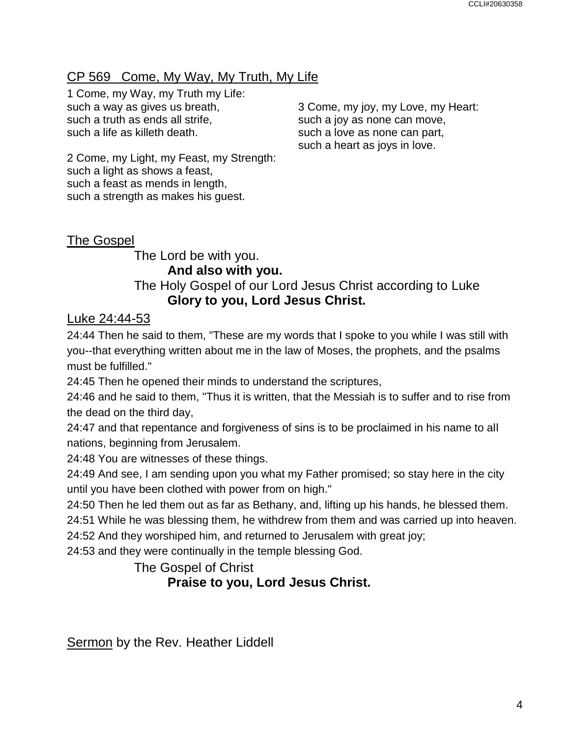### CP 569 Come, My Way, My Truth, My Life

1 Come, my Way, my Truth my Life: such a way as gives us breath, such a truth as ends all strife, such a life as killeth death.

3 Come, my joy, my Love, my Heart: such a joy as none can move, such a love as none can part, such a heart as joys in love.

2 Come, my Light, my Feast, my Strength: such a light as shows a feast, such a feast as mends in length, such a strength as makes his guest.

#### The Gospel

The Lord be with you. **And also with you.** The Holy Gospel of our Lord Jesus Christ according to Luke **Glory to you, Lord Jesus Christ.**

#### Luke 24:44-53

24:44 Then he said to them, "These are my words that I spoke to you while I was still with you--that everything written about me in the law of Moses, the prophets, and the psalms must be fulfilled."

24:45 Then he opened their minds to understand the scriptures,

24:46 and he said to them, "Thus it is written, that the Messiah is to suffer and to rise from the dead on the third day,

24:47 and that repentance and forgiveness of sins is to be proclaimed in his name to all nations, beginning from Jerusalem.

24:48 You are witnesses of these things.

24:49 And see, I am sending upon you what my Father promised; so stay here in the city until you have been clothed with power from on high."

24:50 Then he led them out as far as Bethany, and, lifting up his hands, he blessed them.

24:51 While he was blessing them, he withdrew from them and was carried up into heaven.

24:52 And they worshiped him, and returned to Jerusalem with great joy;

24:53 and they were continually in the temple blessing God.

The Gospel of Christ

**Praise to you, Lord Jesus Christ.**

Sermon by the Rev. Heather Liddell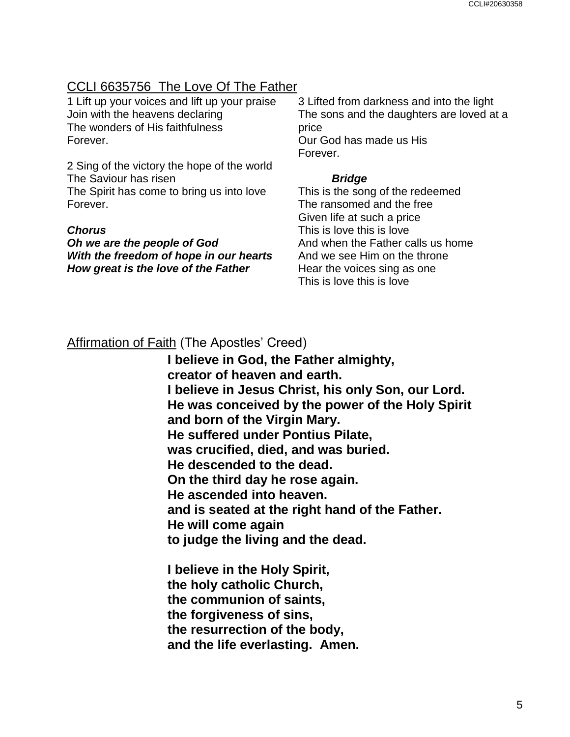# CCLI 6635756 The Love Of The Father

| 1 Lift up your voices and lift up your praise | 3 I |
|-----------------------------------------------|-----|
| Join with the heavens declaring               | Th  |
| The wonders of His faithfulness               | pri |
| Forever.                                      | Oι  |

2 Sing of the victory the hope of the world The Saviour has risen The Spirit has come to bring us into love Forever.

### *Chorus*

*Oh we are the people of God With the freedom of hope in our hearts How great is the love of the Father*

Lifted from darkness and into the light e sons and the daughters are loved at a ice Ir God has made us His Forever.

### *Bridge*

This is the song of the redeemed The ransomed and the free Given life at such a price This is love this is love And when the Father calls us home And we see Him on the throne Hear the voices sing as one This is love this is love

# Affirmation of Faith (The Apostles' Creed)

**I believe in God, the Father almighty, creator of heaven and earth. I believe in Jesus Christ, his only Son, our Lord. He was conceived by the power of the Holy Spirit and born of the Virgin Mary. He suffered under Pontius Pilate, was crucified, died, and was buried. He descended to the dead. On the third day he rose again. He ascended into heaven. and is seated at the right hand of the Father. He will come again to judge the living and the dead.**

**I believe in the Holy Spirit, the holy catholic Church, the communion of saints, the forgiveness of sins, the resurrection of the body, and the life everlasting. Amen.**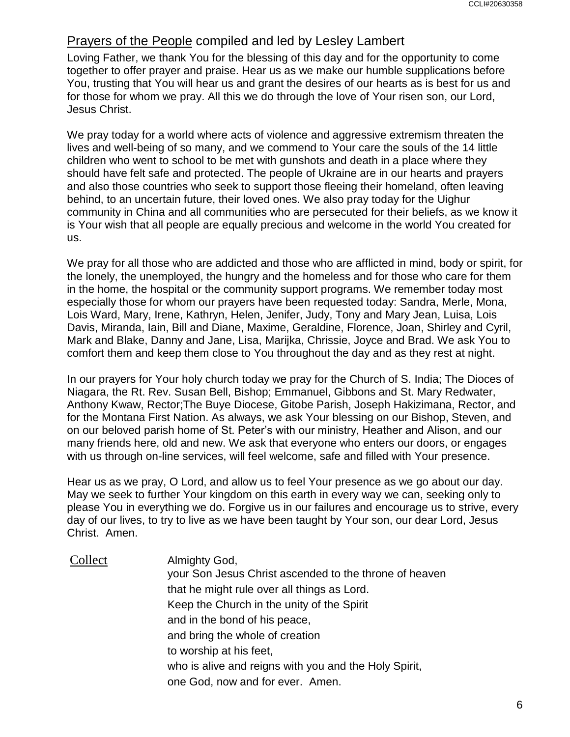### Prayers of the People compiled and led by Lesley Lambert

Loving Father, we thank You for the blessing of this day and for the opportunity to come together to offer prayer and praise. Hear us as we make our humble supplications before You, trusting that You will hear us and grant the desires of our hearts as is best for us and for those for whom we pray. All this we do through the love of Your risen son, our Lord, Jesus Christ.

We pray today for a world where acts of violence and aggressive extremism threaten the lives and well-being of so many, and we commend to Your care the souls of the 14 little children who went to school to be met with gunshots and death in a place where they should have felt safe and protected. The people of Ukraine are in our hearts and prayers and also those countries who seek to support those fleeing their homeland, often leaving behind, to an uncertain future, their loved ones. We also pray today for the Uighur community in China and all communities who are persecuted for their beliefs, as we know it is Your wish that all people are equally precious and welcome in the world You created for us.

We pray for all those who are addicted and those who are afflicted in mind, body or spirit, for the lonely, the unemployed, the hungry and the homeless and for those who care for them in the home, the hospital or the community support programs. We remember today most especially those for whom our prayers have been requested today: Sandra, Merle, Mona, Lois Ward, Mary, Irene, Kathryn, Helen, Jenifer, Judy, Tony and Mary Jean, Luisa, Lois Davis, Miranda, Iain, Bill and Diane, Maxime, Geraldine, Florence, Joan, Shirley and Cyril, Mark and Blake, Danny and Jane, Lisa, Marijka, Chrissie, Joyce and Brad. We ask You to comfort them and keep them close to You throughout the day and as they rest at night.

In our prayers for Your holy church today we pray for the Church of S. India; The Dioces of Niagara, the Rt. Rev. Susan Bell, Bishop; Emmanuel, Gibbons and St. Mary Redwater, Anthony Kwaw, Rector;The Buye Diocese, Gitobe Parish, Joseph Hakizimana, Rector, and for the Montana First Nation. As always, we ask Your blessing on our Bishop, Steven, and on our beloved parish home of St. Peter's with our ministry, Heather and Alison, and our many friends here, old and new. We ask that everyone who enters our doors, or engages with us through on-line services, will feel welcome, safe and filled with Your presence.

Hear us as we pray, O Lord, and allow us to feel Your presence as we go about our day. May we seek to further Your kingdom on this earth in every way we can, seeking only to please You in everything we do. Forgive us in our failures and encourage us to strive, every day of our lives, to try to live as we have been taught by Your son, our dear Lord, Jesus Christ. Amen.

Collect Almighty God,

your Son Jesus Christ ascended to the throne of heaven that he might rule over all things as Lord. Keep the Church in the unity of the Spirit and in the bond of his peace, and bring the whole of creation to worship at his feet, who is alive and reigns with you and the Holy Spirit, one God, now and for ever. Amen.